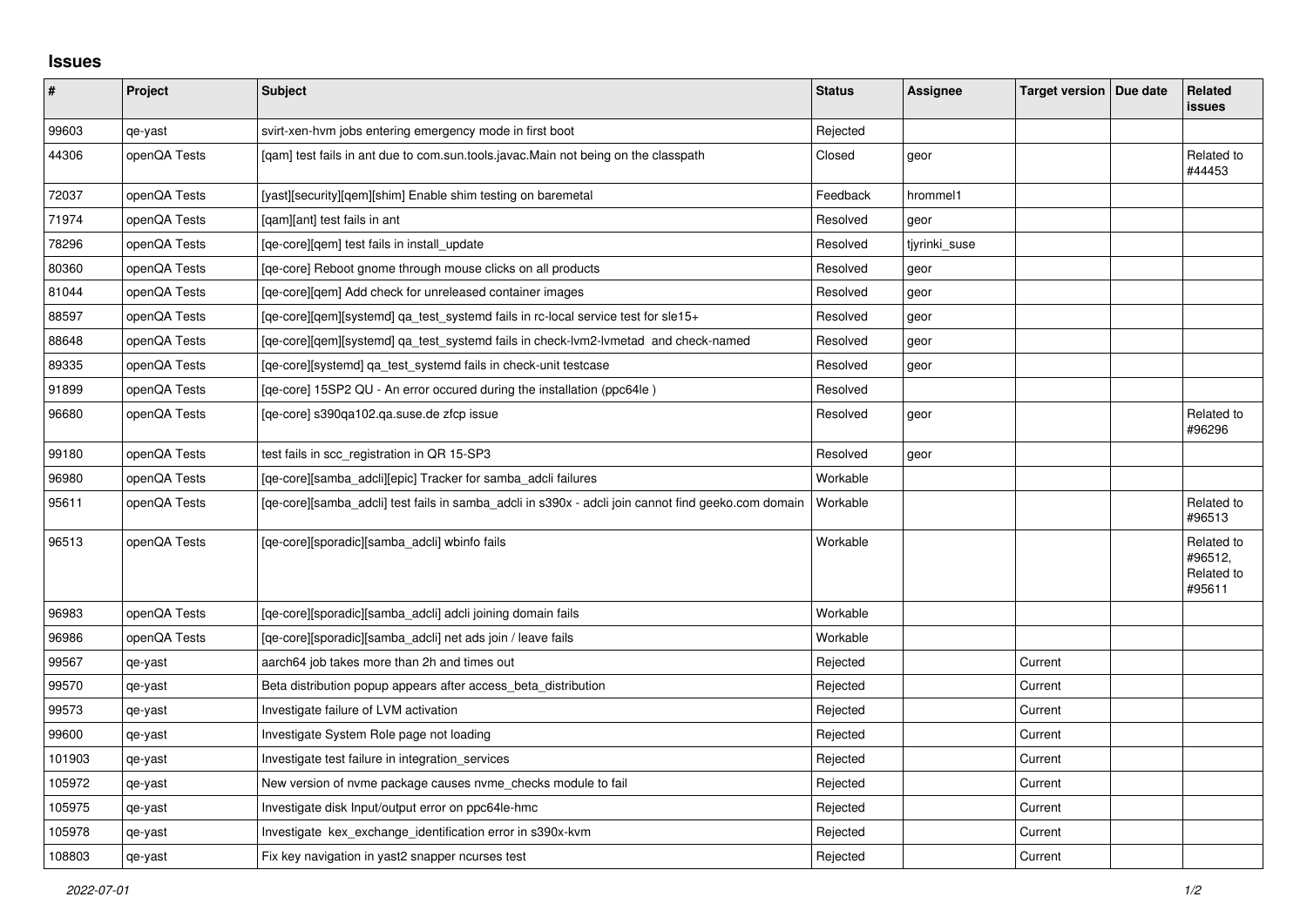## **Issues**

| $\sharp$ | Project      | Subject                                                                                             | <b>Status</b> | Assignee      | Target version   Due date | Related<br><b>issues</b>                      |
|----------|--------------|-----------------------------------------------------------------------------------------------------|---------------|---------------|---------------------------|-----------------------------------------------|
| 99603    | qe-yast      | svirt-xen-hvm jobs entering emergency mode in first boot                                            | Rejected      |               |                           |                                               |
| 44306    | openQA Tests | [qam] test fails in ant due to com.sun.tools.javac.Main not being on the classpath                  | Closed        | geor          |                           | Related to<br>#44453                          |
| 72037    | openQA Tests | [yast][security][gem][shim] Enable shim testing on baremetal                                        | Feedback      | hrommel1      |                           |                                               |
| 71974    | openQA Tests | [gam][ant] test fails in ant                                                                        | Resolved      | geor          |                           |                                               |
| 78296    | openQA Tests | [ge-core][gem] test fails in install update                                                         | Resolved      | tjyrinki_suse |                           |                                               |
| 80360    | openQA Tests | [ge-core] Reboot gnome through mouse clicks on all products                                         | Resolved      | geor          |                           |                                               |
| 81044    | openQA Tests | [ge-core][gem] Add check for unreleased container images                                            | Resolved      | geor          |                           |                                               |
| 88597    | openQA Tests | [qe-core][qem][systemd] qa_test_systemd fails in rc-local service test for sle15+                   | Resolved      | geor          |                           |                                               |
| 88648    | openQA Tests | [qe-core][qem][systemd] qa_test_systemd fails in check-lvm2-lvmetad and check-named                 | Resolved      | geor          |                           |                                               |
| 89335    | openQA Tests | [ge-core][systemd] ga test systemd fails in check-unit testcase                                     | Resolved      | geor          |                           |                                               |
| 91899    | openQA Tests | [qe-core] 15SP2 QU - An error occured during the installation (ppc64le)                             | Resolved      |               |                           |                                               |
| 96680    | openQA Tests | [qe-core] s390qa102.qa.suse.de zfcp issue                                                           | Resolved      | geor          |                           | Related to<br>#96296                          |
| 99180    | openQA Tests | test fails in scc registration in QR 15-SP3                                                         | Resolved      | geor          |                           |                                               |
| 96980    | openQA Tests | [ge-core][samba adcli][epic] Tracker for samba adcli failures                                       | Workable      |               |                           |                                               |
| 95611    | openQA Tests | [qe-core][samba_adcli] test fails in samba_adcli in s390x - adcli join cannot find geeko.com domain | Workable      |               |                           | Related to<br>#96513                          |
| 96513    | openQA Tests | [qe-core][sporadic][samba_adcli] wbinfo fails                                                       | Workable      |               |                           | Related to<br>#96512,<br>Related to<br>#95611 |
| 96983    | openQA Tests | [ge-core][sporadic][samba adcli] adcli joining domain fails                                         | Workable      |               |                           |                                               |
| 96986    | openQA Tests | [qe-core][sporadic][samba_adcli] net ads join / leave fails                                         | Workable      |               |                           |                                               |
| 99567    | qe-yast      | aarch64 job takes more than 2h and times out                                                        | Rejected      |               | Current                   |                                               |
| 99570    | qe-yast      | Beta distribution popup appears after access_beta_distribution                                      | Rejected      |               | Current                   |                                               |
| 99573    | qe-yast      | Investigate failure of LVM activation                                                               | Rejected      |               | Current                   |                                               |
| 99600    | qe-yast      | Investigate System Role page not loading                                                            | Rejected      |               | Current                   |                                               |
| 101903   | qe-yast      | Investigate test failure in integration services                                                    | Rejected      |               | Current                   |                                               |
| 105972   | qe-yast      | New version of nvme package causes nvme_checks module to fail                                       | Rejected      |               | Current                   |                                               |
| 105975   | qe-yast      | Investigate disk Input/output error on ppc64le-hmc                                                  | Rejected      |               | Current                   |                                               |
| 105978   | qe-yast      | Investigate kex exchange identification error in s390x-kvm                                          | Rejected      |               | Current                   |                                               |
| 108803   | qe-yast      | Fix key navigation in yast2 snapper ncurses test                                                    | Rejected      |               | Current                   |                                               |